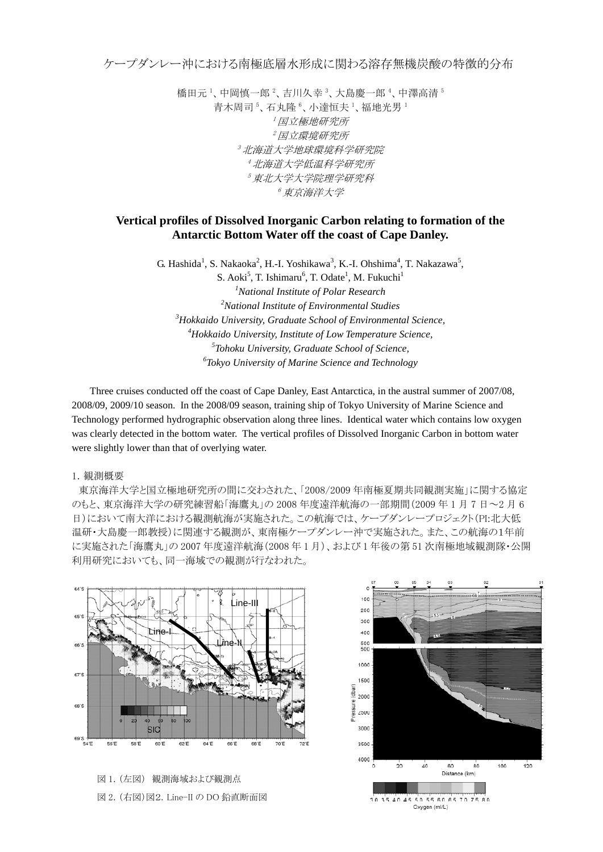ケープダンレー沖における南極底層水形成に関わる溶存無機炭酸の特徴的分布

橋田元 1、中岡慎一郎 2、吉川久幸 3、大島慶一郎 4、中澤高清 5 青木周司<sup>5</sup>、石丸隆<sup>6</sup>、小達恒夫<sup>1</sup>、福地光男<sup>1</sup> 1 国立極地研究所 2 国立環境研究所 3 北海道大学地球環境科学研究院 4 北海道大学低温科学研究所 5 東北大学大学院理学研究科 6 東京海洋大学

## **Vertical profiles of Dissolved Inorganic Carbon relating to formation of the Antarctic Bottom Water off the coast of Cape Danley.**

G. Hashida<sup>1</sup>, S. Nakaoka<sup>2</sup>, H.-I. Yoshikawa<sup>3</sup>, K.-I. Ohshima<sup>4</sup>, T. Nakazawa<sup>5</sup>, S. Aoki<sup>5</sup>, T. Ishimaru<sup>6</sup>, T. Odate<sup>1</sup>, M. Fukuchi<sup>1</sup> *National Institute of Polar Research National Institute of Environmental Studies Hokkaido University, Graduate School of Environmental Science, Hokkaido University, Institute of Low Temperature Science, Tohoku University, Graduate School of Science, Tokyo University of Marine Science and Technology*

Three cruises conducted off the coast of Cape Danley, East Antarctica, in the austral summer of 2007/08, 2008/09, 2009/10 season. In the 2008/09 season, training ship of Tokyo University of Marine Science and Technology performed hydrographic observation along three lines. Identical water which contains low oxygen was clearly detected in the bottom water. The vertical profiles of Dissolved Inorganic Carbon in bottom water were slightly lower than that of overlying water.

## 1.観測概要

東京海洋大学と国立極地研究所の間に交わされた、「2008/2009 年南極夏期共同観測実施」に関する協定 のもと、東京海洋大学の研究練習船「海鷹丸」の 2008 年度遠洋航海の一部期間(2009 年 1 月 7 日~2 月 6 日)において南大洋における観測航海が実施された。この航海では、ケープダンレープロジェクト(PI:北大低 温研・大島慶一郎教授)に関連する観測が、東南極ケープダンレー沖で実施された。また、この航海の1年前 に実施された「海鷹丸」の 2007 年度遠洋航海(2008 年 1 月)、および 1 年後の第 51 次南極地域観測隊・公開 利用研究においても、同一海域での観測が行なわれた。



図 1. (左図) 観測海域および観測点 図 2. (右図)図2.Line-II の DO 鉛直断面図